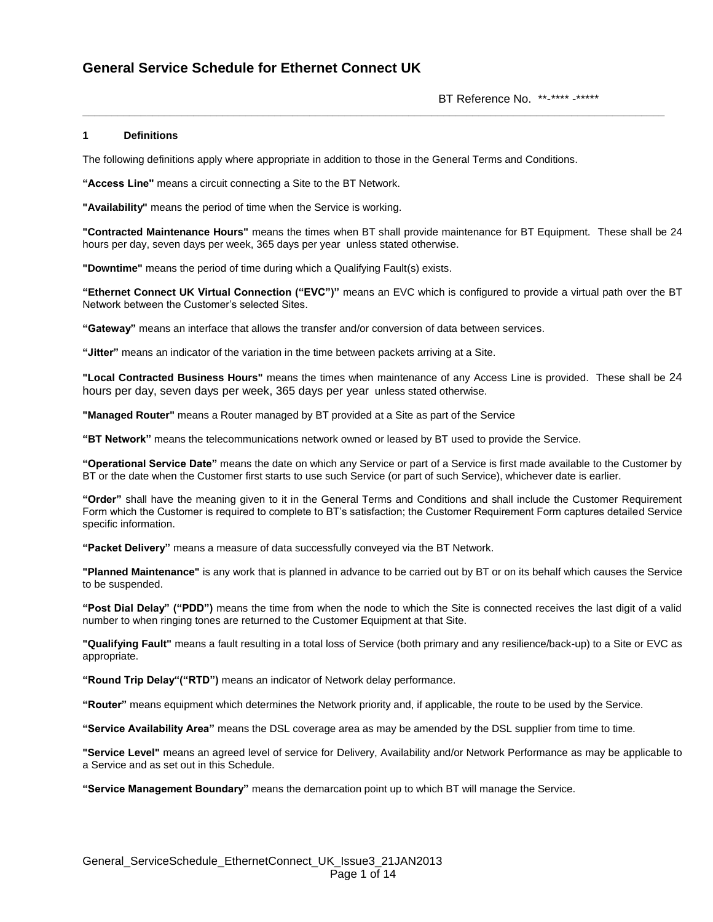BT Reference No. \*\*-\*\*\*\* -\*\*\*\*\*

### **1 Definitions**

The following definitions apply where appropriate in addition to those in the General Terms and Conditions.

**"Access Line"** means a circuit connecting a Site to the BT Network.

**"Availability"** means the period of time when the Service is working.

**"Contracted Maintenance Hours"** means the times when BT shall provide maintenance for BT Equipment. These shall be 24 hours per day, seven days per week, 365 days per year unless stated otherwise.

**\_\_\_\_\_\_\_\_\_\_\_\_\_\_\_\_\_\_\_\_\_\_\_\_\_\_\_\_\_\_\_\_\_\_\_\_\_\_\_\_\_\_\_\_\_\_\_\_\_\_\_\_\_\_\_\_\_\_\_\_\_\_\_\_\_\_\_\_\_\_\_\_\_\_\_\_\_\_\_\_\_\_\_\_\_\_\_\_\_\_\_\_\_\_\_\_\_\_\_\_**

**"Downtime"** means the period of time during which a Qualifying Fault(s) exists.

**"Ethernet Connect UK Virtual Connection ("EVC")"** means an EVC which is configured to provide a virtual path over the BT Network between the Customer"s selected Sites.

**"Gateway"** means an interface that allows the transfer and/or conversion of data between services.

**"Jitter"** means an indicator of the variation in the time between packets arriving at a Site.

**"Local Contracted Business Hours"** means the times when maintenance of any Access Line is provided. These shall be 24 hours per day, seven days per week, 365 days per year unless stated otherwise.

**"Managed Router"** means a Router managed by BT provided at a Site as part of the Service

**"BT Network"** means the telecommunications network owned or leased by BT used to provide the Service.

**"Operational Service Date"** means the date on which any Service or part of a Service is first made available to the Customer by BT or the date when the Customer first starts to use such Service (or part of such Service), whichever date is earlier.

**"Order"** shall have the meaning given to it in the General Terms and Conditions and shall include the Customer Requirement Form which the Customer is required to complete to BT"s satisfaction; the Customer Requirement Form captures detailed Service specific information.

**"Packet Delivery"** means a measure of data successfully conveyed via the BT Network.

**"Planned Maintenance"** is any work that is planned in advance to be carried out by BT or on its behalf which causes the Service to be suspended.

**"Post Dial Delay" ("PDD")** means the time from when the node to which the Site is connected receives the last digit of a valid number to when ringing tones are returned to the Customer Equipment at that Site.

**"Qualifying Fault"** means a fault resulting in a total loss of Service (both primary and any resilience/back-up) to a Site or EVC as appropriate.

**"Round Trip Delay"("RTD")** means an indicator of Network delay performance.

**"Router"** means equipment which determines the Network priority and, if applicable, the route to be used by the Service.

**"Service Availability Area"** means the DSL coverage area as may be amended by the DSL supplier from time to time.

**"Service Level"** means an agreed level of service for Delivery, Availability and/or Network Performance as may be applicable to a Service and as set out in this Schedule.

**"Service Management Boundary"** means the demarcation point up to which BT will manage the Service.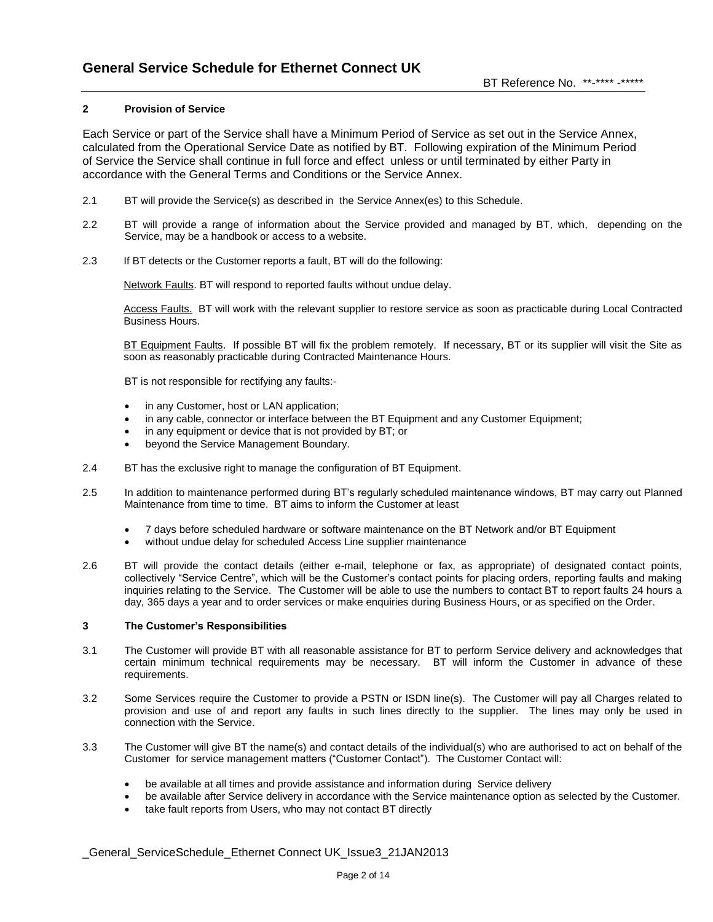### **2 Provision of Service**

Each Service or part of the Service shall have a Minimum Period of Service as set out in the Service Annex, calculated from the Operational Service Date as notified by BT. Following expiration of the Minimum Period of Service the Service shall continue in full force and effect unless or until terminated by either Party in accordance with the General Terms and Conditions or the Service Annex.

- 2.1 BT will provide the Service(s) as described in the Service Annex(es) to this Schedule.
- 2.2 BT will provide a range of information about the Service provided and managed by BT, which, depending on the Service, may be a handbook or access to a website.
- 2.3 If BT detects or the Customer reports a fault, BT will do the following:

Network Faults. BT will respond to reported faults without undue delay.

Access Faults. BT will work with the relevant supplier to restore service as soon as practicable during Local Contracted Business Hours.

BT Equipment Faults. If possible BT will fix the problem remotely. If necessary, BT or its supplier will visit the Site as soon as reasonably practicable during Contracted Maintenance Hours.

BT is not responsible for rectifying any faults:-

- in any Customer, host or LAN application;
- in any cable, connector or interface between the BT Equipment and any Customer Equipment;
- in any equipment or device that is not provided by BT; or
- beyond the Service Management Boundary.
- 2.4 BT has the exclusive right to manage the configuration of BT Equipment.
- 2.5 In addition to maintenance performed during BT"s regularly scheduled maintenance windows, BT may carry out Planned Maintenance from time to time. BT aims to inform the Customer at least
	- 7 days before scheduled hardware or software maintenance on the BT Network and/or BT Equipment
	- without undue delay for scheduled Access Line supplier maintenance
- 2.6 BT will provide the contact details (either e-mail, telephone or fax, as appropriate) of designated contact points, collectively "Service Centre", which will be the Customer"s contact points for placing orders, reporting faults and making inquiries relating to the Service. The Customer will be able to use the numbers to contact BT to report faults 24 hours a day, 365 days a year and to order services or make enquiries during Business Hours, or as specified on the Order.

#### **3 The Customer's Responsibilities**

- 3.1 The Customer will provide BT with all reasonable assistance for BT to perform Service delivery and acknowledges that certain minimum technical requirements may be necessary. BT will inform the Customer in advance of these requirements.
- 3.2 Some Services require the Customer to provide a PSTN or ISDN line(s). The Customer will pay all Charges related to provision and use of and report any faults in such lines directly to the supplier. The lines may only be used in connection with the Service.
- 3.3 The Customer will give BT the name(s) and contact details of the individual(s) who are authorised to act on behalf of the Customer for service management matters ("Customer Contact"). The Customer Contact will:
	- be available at all times and provide assistance and information during Service delivery
	- be available after Service delivery in accordance with the Service maintenance option as selected by the Customer.
	- take fault reports from Users, who may not contact BT directly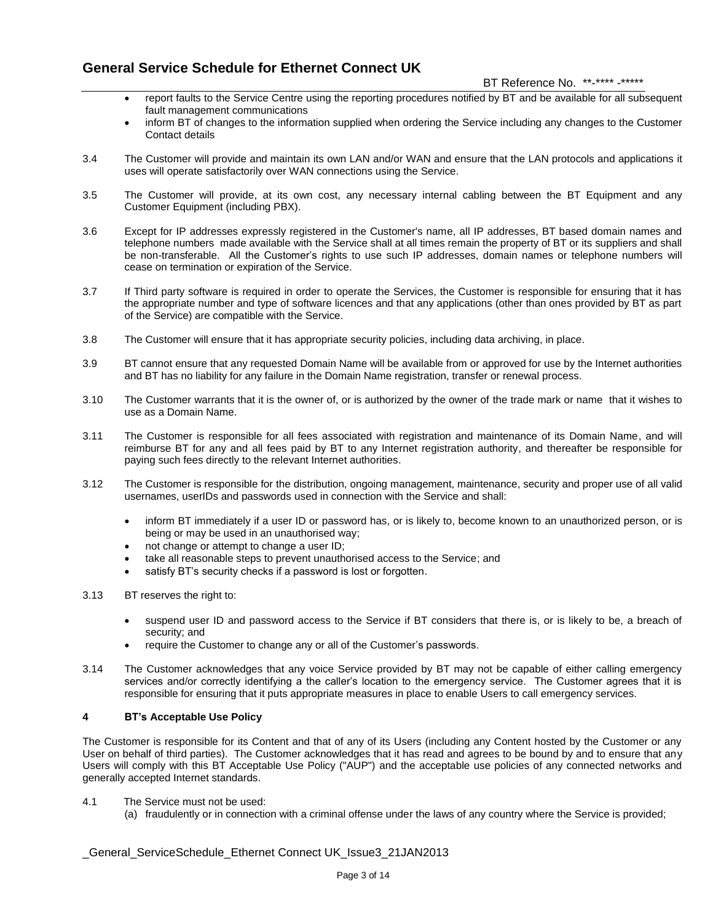### BT Reference No. \*\*-\*\*\*\* -\*\*\*\*\*

- report faults to the Service Centre using the reporting procedures notified by BT and be available for all subsequent fault management communications
- inform BT of changes to the information supplied when ordering the Service including any changes to the Customer Contact details
- 3.4 The Customer will provide and maintain its own LAN and/or WAN and ensure that the LAN protocols and applications it uses will operate satisfactorily over WAN connections using the Service.
- 3.5 The Customer will provide, at its own cost, any necessary internal cabling between the BT Equipment and any Customer Equipment (including PBX).
- 3.6 Except for IP addresses expressly registered in the Customer's name, all IP addresses, BT based domain names and telephone numbers made available with the Service shall at all times remain the property of BT or its suppliers and shall be non-transferable. All the Customer"s rights to use such IP addresses, domain names or telephone numbers will cease on termination or expiration of the Service.
- 3.7 If Third party software is required in order to operate the Services, the Customer is responsible for ensuring that it has the appropriate number and type of software licences and that any applications (other than ones provided by BT as part of the Service) are compatible with the Service.
- 3.8 The Customer will ensure that it has appropriate security policies, including data archiving, in place.
- 3.9 BT cannot ensure that any requested Domain Name will be available from or approved for use by the Internet authorities and BT has no liability for any failure in the Domain Name registration, transfer or renewal process.
- 3.10 The Customer warrants that it is the owner of, or is authorized by the owner of the trade mark or name that it wishes to use as a Domain Name.
- 3.11 The Customer is responsible for all fees associated with registration and maintenance of its Domain Name, and will reimburse BT for any and all fees paid by BT to any Internet registration authority, and thereafter be responsible for paying such fees directly to the relevant Internet authorities.
- 3.12 The Customer is responsible for the distribution, ongoing management, maintenance, security and proper use of all valid usernames, userIDs and passwords used in connection with the Service and shall:
	- inform BT immediately if a user ID or password has, or is likely to, become known to an unauthorized person, or is being or may be used in an unauthorised way;
	- not change or attempt to change a user ID;
	- take all reasonable steps to prevent unauthorised access to the Service; and
	- satisfy BT's security checks if a password is lost or forgotten.
- 3.13 BT reserves the right to:
	- suspend user ID and password access to the Service if BT considers that there is, or is likely to be, a breach of security; and
	- require the Customer to change any or all of the Customer"s passwords.
- 3.14 The Customer acknowledges that any voice Service provided by BT may not be capable of either calling emergency services and/or correctly identifying a the caller's location to the emergency service. The Customer agrees that it is responsible for ensuring that it puts appropriate measures in place to enable Users to call emergency services.

### **4 BT's Acceptable Use Policy**

The Customer is responsible for its Content and that of any of its Users (including any Content hosted by the Customer or any User on behalf of third parties). The Customer acknowledges that it has read and agrees to be bound by and to ensure that any Users will comply with this BT Acceptable Use Policy ("AUP") and the acceptable use policies of any connected networks and generally accepted Internet standards.

- 4.1 The Service must not be used:
	- (a) fraudulently or in connection with a criminal offense under the laws of any country where the Service is provided;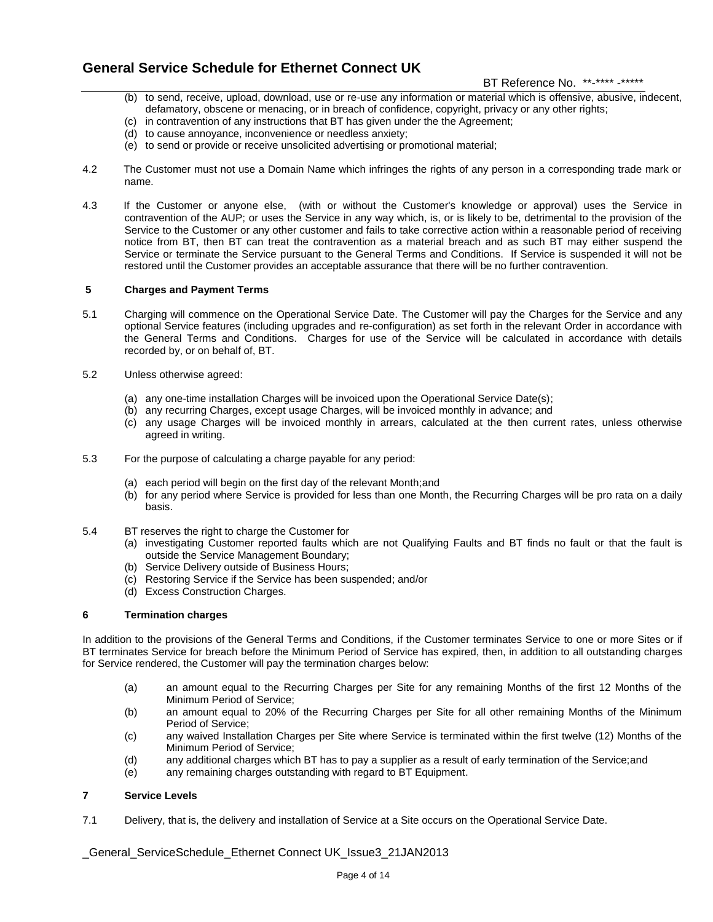### BT Reference No. \*\*-\*\*\*\* -\*\*\*\*\*

- (b) to send, receive, upload, download, use or re-use any information or material which is offensive, abusive, indecent, defamatory, obscene or menacing, or in breach of confidence, copyright, privacy or any other rights;
- (c) in contravention of any instructions that BT has given under the the Agreement;
- (d) to cause annoyance, inconvenience or needless anxiety;
- (e) to send or provide or receive unsolicited advertising or promotional material;
- 4.2 The Customer must not use a Domain Name which infringes the rights of any person in a corresponding trade mark or name.
- 4.3 If the Customer or anyone else, (with or without the Customer's knowledge or approval) uses the Service in contravention of the AUP; or uses the Service in any way which, is, or is likely to be, detrimental to the provision of the Service to the Customer or any other customer and fails to take corrective action within a reasonable period of receiving notice from BT, then BT can treat the contravention as a material breach and as such BT may either suspend the Service or terminate the Service pursuant to the General Terms and Conditions. If Service is suspended it will not be restored until the Customer provides an acceptable assurance that there will be no further contravention.

### **5 Charges and Payment Terms**

- 5.1 Charging will commence on the Operational Service Date. The Customer will pay the Charges for the Service and any optional Service features (including upgrades and re-configuration) as set forth in the relevant Order in accordance with the General Terms and Conditions. Charges for use of the Service will be calculated in accordance with details recorded by, or on behalf of, BT.
- 5.2 Unless otherwise agreed:
	- (a) any one-time installation Charges will be invoiced upon the Operational Service Date(s);
	- (b) any recurring Charges, except usage Charges, will be invoiced monthly in advance; and
	- (c) any usage Charges will be invoiced monthly in arrears, calculated at the then current rates, unless otherwise agreed in writing.
- 5.3 For the purpose of calculating a charge payable for any period:
	- (a) each period will begin on the first day of the relevant Month;and
	- (b) for any period where Service is provided for less than one Month, the Recurring Charges will be pro rata on a daily basis.
- 5.4 BT reserves the right to charge the Customer for
	- (a) investigating Customer reported faults which are not Qualifying Faults and BT finds no fault or that the fault is outside the Service Management Boundary;
	- (b) Service Delivery outside of Business Hours;
	- (c) Restoring Service if the Service has been suspended; and/or
	- (d) Excess Construction Charges.

### **6 Termination charges**

In addition to the provisions of the General Terms and Conditions, if the Customer terminates Service to one or more Sites or if BT terminates Service for breach before the Minimum Period of Service has expired, then, in addition to all outstanding charges for Service rendered, the Customer will pay the termination charges below:

- (a) an amount equal to the Recurring Charges per Site for any remaining Months of the first 12 Months of the Minimum Period of Service;
- (b) an amount equal to 20% of the Recurring Charges per Site for all other remaining Months of the Minimum Period of Service;
- (c) any waived Installation Charges per Site where Service is terminated within the first twelve (12) Months of the Minimum Period of Service;
- (d) any additional charges which BT has to pay a supplier as a result of early termination of the Service;and
- (e) any remaining charges outstanding with regard to BT Equipment.

### **7 Service Levels**

7.1 Delivery, that is, the delivery and installation of Service at a Site occurs on the Operational Service Date.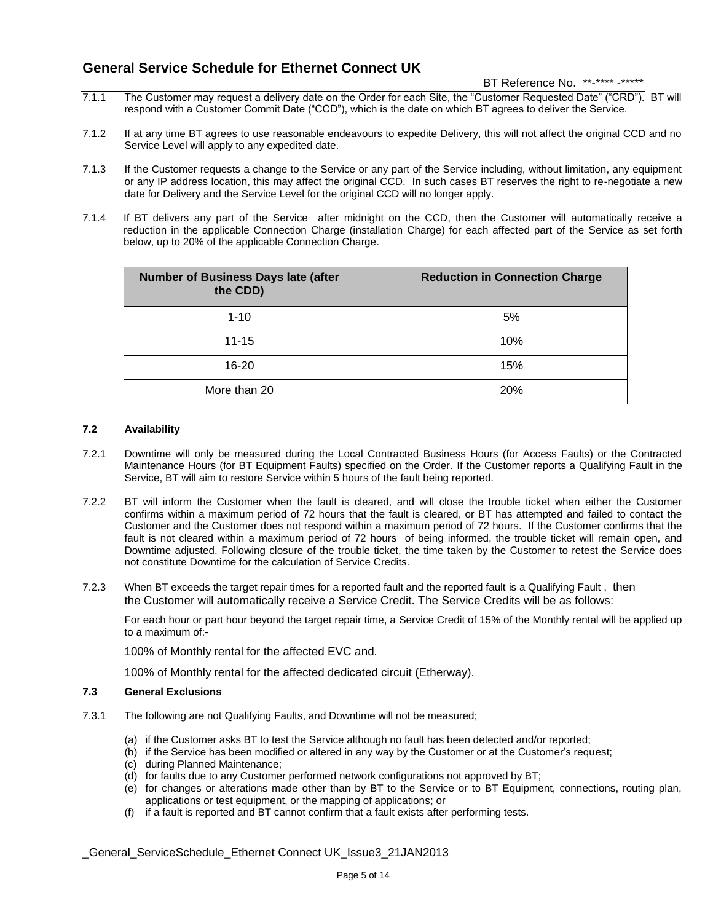BT Reference No. \*\*-\*\*\*\* -\*\*\*\*\*

- 7.1.1 The Customer may request a delivery date on the Order for each Site, the "Customer Requested Date" ("CRD"). BT will respond with a Customer Commit Date ("CCD"), which is the date on which BT agrees to deliver the Service.
- 7.1.2 If at any time BT agrees to use reasonable endeavours to expedite Delivery, this will not affect the original CCD and no Service Level will apply to any expedited date.
- 7.1.3 If the Customer requests a change to the Service or any part of the Service including, without limitation, any equipment or any IP address location, this may affect the original CCD. In such cases BT reserves the right to re-negotiate a new date for Delivery and the Service Level for the original CCD will no longer apply.
- 7.1.4 If BT delivers any part of the Service after midnight on the CCD, then the Customer will automatically receive a reduction in the applicable Connection Charge (installation Charge) for each affected part of the Service as set forth below, up to 20% of the applicable Connection Charge.

| <b>Number of Business Days late (after</b><br>the CDD) | <b>Reduction in Connection Charge</b> |
|--------------------------------------------------------|---------------------------------------|
| $1 - 10$                                               | 5%                                    |
| $11 - 15$                                              | 10%                                   |
| $16 - 20$                                              | 15%                                   |
| More than 20                                           | <b>20%</b>                            |

### **7.2 Availability**

- 7.2.1 Downtime will only be measured during the Local Contracted Business Hours (for Access Faults) or the Contracted Maintenance Hours (for BT Equipment Faults) specified on the Order. If the Customer reports a Qualifying Fault in the Service, BT will aim to restore Service within 5 hours of the fault being reported.
- 7.2.2 BT will inform the Customer when the fault is cleared, and will close the trouble ticket when either the Customer confirms within a maximum period of 72 hours that the fault is cleared, or BT has attempted and failed to contact the Customer and the Customer does not respond within a maximum period of 72 hours. If the Customer confirms that the fault is not cleared within a maximum period of 72 hours of being informed, the trouble ticket will remain open, and Downtime adjusted. Following closure of the trouble ticket, the time taken by the Customer to retest the Service does not constitute Downtime for the calculation of Service Credits.
- 7.2.3 When BT exceeds the target repair times for a reported fault and the reported fault is a Qualifying Fault , then the Customer will automatically receive a Service Credit. The Service Credits will be as follows:

For each hour or part hour beyond the target repair time, a Service Credit of 15% of the Monthly rental will be applied up to a maximum of:-

100% of Monthly rental for the affected EVC and.

100% of Monthly rental for the affected dedicated circuit (Etherway).

### **7.3 General Exclusions**

- 7.3.1 The following are not Qualifying Faults, and Downtime will not be measured;
	- (a) if the Customer asks BT to test the Service although no fault has been detected and/or reported;
	- (b) if the Service has been modified or altered in any way by the Customer or at the Customer"s request;
	- (c) during Planned Maintenance;
	- (d) for faults due to any Customer performed network configurations not approved by BT;
	- (e) for changes or alterations made other than by BT to the Service or to BT Equipment, connections, routing plan, applications or test equipment, or the mapping of applications; or
	- (f) if a fault is reported and BT cannot confirm that a fault exists after performing tests.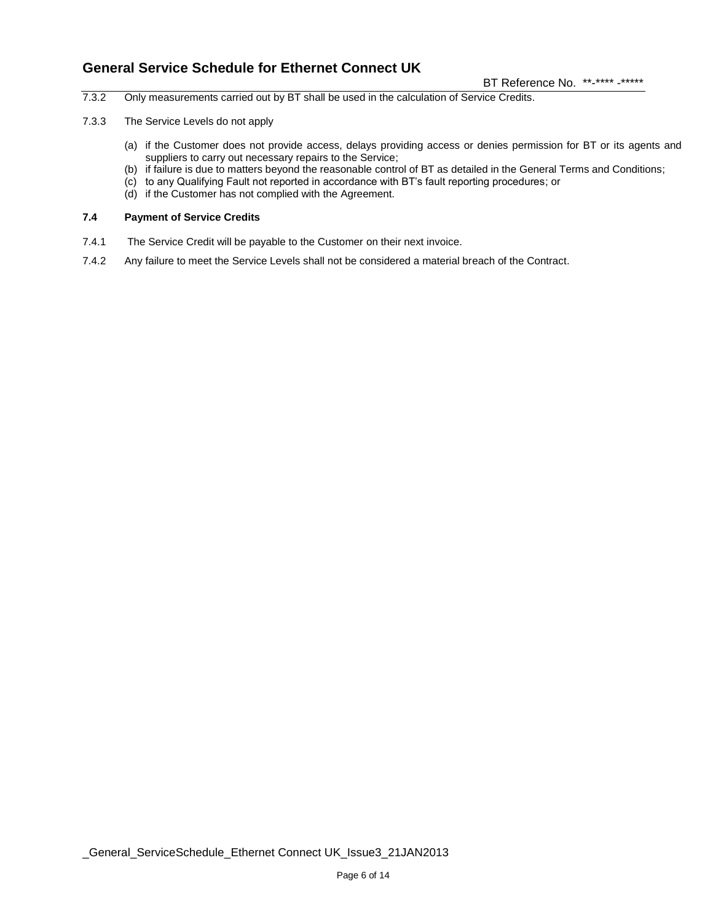BT Reference No. \*\*-\*\*\*\* -\*\*\*\*\*

- 7.3.2 Only measurements carried out by BT shall be used in the calculation of Service Credits.
- 7.3.3 The Service Levels do not apply
	- (a) if the Customer does not provide access, delays providing access or denies permission for BT or its agents and suppliers to carry out necessary repairs to the Service;
	- (b) if failure is due to matters beyond the reasonable control of BT as detailed in the General Terms and Conditions;
	- (c) to any Qualifying Fault not reported in accordance with BT"s fault reporting procedures; or
	- (d) if the Customer has not complied with the Agreement.

### **7.4 Payment of Service Credits**

- 7.4.1 The Service Credit will be payable to the Customer on their next invoice.
- 7.4.2 Any failure to meet the Service Levels shall not be considered a material breach of the Contract.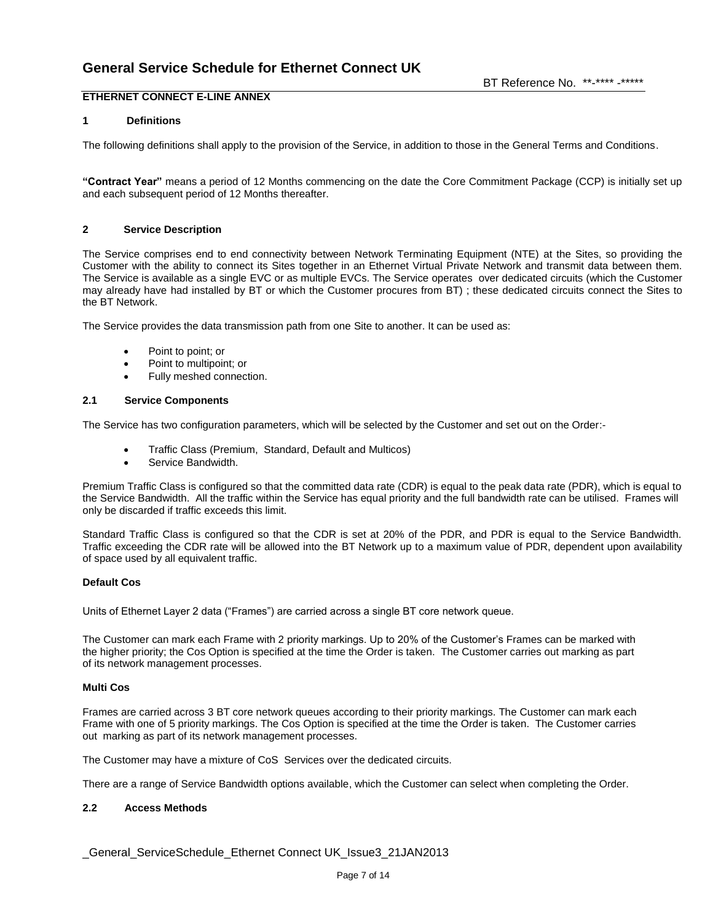### **ETHERNET CONNECT E-LINE ANNEX**

### **1 Definitions**

The following definitions shall apply to the provision of the Service, in addition to those in the General Terms and Conditions.

**"Contract Year"** means a period of 12 Months commencing on the date the Core Commitment Package (CCP) is initially set up and each subsequent period of 12 Months thereafter.

#### **2 Service Description**

The Service comprises end to end connectivity between Network Terminating Equipment (NTE) at the Sites, so providing the Customer with the ability to connect its Sites together in an Ethernet Virtual Private Network and transmit data between them. The Service is available as a single EVC or as multiple EVCs. The Service operates over dedicated circuits (which the Customer may already have had installed by BT or which the Customer procures from BT) ; these dedicated circuits connect the Sites to the BT Network.

The Service provides the data transmission path from one Site to another. It can be used as:

- Point to point; or
- Point to multipoint; or
- Fully meshed connection.

### **2.1 Service Components**

The Service has two configuration parameters, which will be selected by the Customer and set out on the Order:-

- Traffic Class (Premium, Standard, Default and Multicos)
- Service Bandwidth.

Premium Traffic Class is configured so that the committed data rate (CDR) is equal to the peak data rate (PDR), which is equal to the Service Bandwidth. All the traffic within the Service has equal priority and the full bandwidth rate can be utilised. Frames will only be discarded if traffic exceeds this limit.

Standard Traffic Class is configured so that the CDR is set at 20% of the PDR, and PDR is equal to the Service Bandwidth. Traffic exceeding the CDR rate will be allowed into the BT Network up to a maximum value of PDR, dependent upon availability of space used by all equivalent traffic.

### **Default Cos**

Units of Ethernet Layer 2 data ("Frames") are carried across a single BT core network queue.

The Customer can mark each Frame with 2 priority markings. Up to 20% of the Customer"s Frames can be marked with the higher priority; the Cos Option is specified at the time the Order is taken. The Customer carries out marking as part of its network management processes.

#### **Multi Cos**

Frames are carried across 3 BT core network queues according to their priority markings. The Customer can mark each Frame with one of 5 priority markings. The Cos Option is specified at the time the Order is taken. The Customer carries out marking as part of its network management processes.

The Customer may have a mixture of CoS Services over the dedicated circuits.

There are a range of Service Bandwidth options available, which the Customer can select when completing the Order.

### **2.2 Access Methods**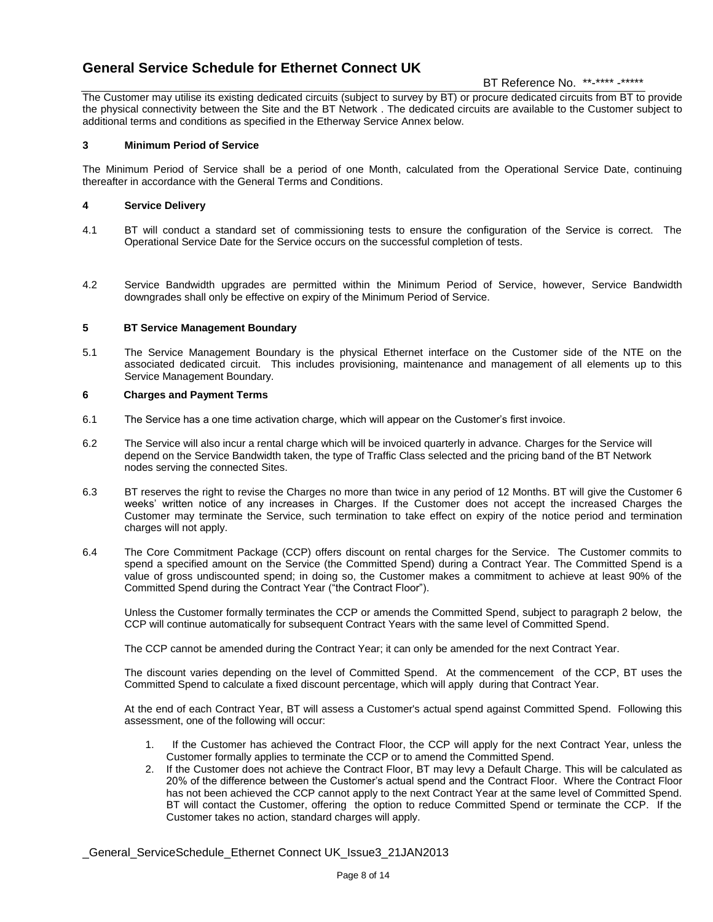### BT Reference No. \*\*-\*\*\*\* -\*\*\*\*\*

The Customer may utilise its existing dedicated circuits (subject to survey by BT) or procure dedicated circuits from BT to provide the physical connectivity between the Site and the BT Network . The dedicated circuits are available to the Customer subject to additional terms and conditions as specified in the Etherway Service Annex below.

### **3 Minimum Period of Service**

The Minimum Period of Service shall be a period of one Month, calculated from the Operational Service Date, continuing thereafter in accordance with the General Terms and Conditions.

### **4 Service Delivery**

- 4.1 BT will conduct a standard set of commissioning tests to ensure the configuration of the Service is correct. The Operational Service Date for the Service occurs on the successful completion of tests.
- 4.2 Service Bandwidth upgrades are permitted within the Minimum Period of Service, however, Service Bandwidth downgrades shall only be effective on expiry of the Minimum Period of Service.

### **5 BT Service Management Boundary**

5.1 The Service Management Boundary is the physical Ethernet interface on the Customer side of the NTE on the associated dedicated circuit. This includes provisioning, maintenance and management of all elements up to this Service Management Boundary.

### **6 Charges and Payment Terms**

- 6.1 The Service has a one time activation charge, which will appear on the Customer"s first invoice.
- 6.2 The Service will also incur a rental charge which will be invoiced quarterly in advance. Charges for the Service will depend on the Service Bandwidth taken, the type of Traffic Class selected and the pricing band of the BT Network nodes serving the connected Sites.
- 6.3 BT reserves the right to revise the Charges no more than twice in any period of 12 Months. BT will give the Customer 6 weeks" written notice of any increases in Charges. If the Customer does not accept the increased Charges the Customer may terminate the Service, such termination to take effect on expiry of the notice period and termination charges will not apply.
- 6.4 The Core Commitment Package (CCP) offers discount on rental charges for the Service. The Customer commits to spend a specified amount on the Service (the Committed Spend) during a Contract Year. The Committed Spend is a value of gross undiscounted spend; in doing so, the Customer makes a commitment to achieve at least 90% of the Committed Spend during the Contract Year ("the Contract Floor").

Unless the Customer formally terminates the CCP or amends the Committed Spend, subject to paragraph 2 below, the CCP will continue automatically for subsequent Contract Years with the same level of Committed Spend.

The CCP cannot be amended during the Contract Year; it can only be amended for the next Contract Year.

The discount varies depending on the level of Committed Spend. At the commencement of the CCP, BT uses the Committed Spend to calculate a fixed discount percentage, which will apply during that Contract Year.

At the end of each Contract Year, BT will assess a Customer's actual spend against Committed Spend. Following this assessment, one of the following will occur:

- 1. If the Customer has achieved the Contract Floor, the CCP will apply for the next Contract Year, unless the Customer formally applies to terminate the CCP or to amend the Committed Spend.
- 2. If the Customer does not achieve the Contract Floor, BT may levy a Default Charge. This will be calculated as 20% of the difference between the Customer"s actual spend and the Contract Floor. Where the Contract Floor has not been achieved the CCP cannot apply to the next Contract Year at the same level of Committed Spend. BT will contact the Customer, offering the option to reduce Committed Spend or terminate the CCP. If the Customer takes no action, standard charges will apply.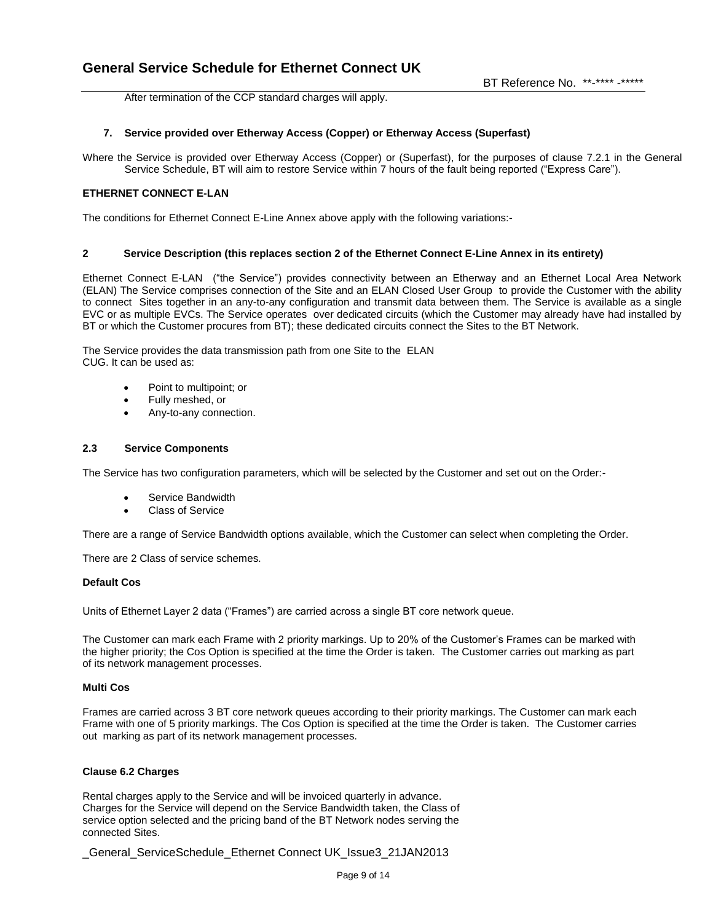After termination of the CCP standard charges will apply.

### **7. Service provided over Etherway Access (Copper) or Etherway Access (Superfast)**

Where the Service is provided over Etherway Access (Copper) or (Superfast), for the purposes of clause 7.2.1 in the General Service Schedule, BT will aim to restore Service within 7 hours of the fault being reported ("Express Care").

### **ETHERNET CONNECT E-LAN**

The conditions for Ethernet Connect E-Line Annex above apply with the following variations:-

#### **2 Service Description (this replaces section 2 of the Ethernet Connect E-Line Annex in its entirety)**

Ethernet Connect E-LAN ("the Service") provides connectivity between an Etherway and an Ethernet Local Area Network (ELAN) The Service comprises connection of the Site and an ELAN Closed User Group to provide the Customer with the ability to connect Sites together in an any-to-any configuration and transmit data between them. The Service is available as a single EVC or as multiple EVCs. The Service operates over dedicated circuits (which the Customer may already have had installed by BT or which the Customer procures from BT); these dedicated circuits connect the Sites to the BT Network.

The Service provides the data transmission path from one Site to the ELAN CUG. It can be used as:

- Point to multipoint; or
- Fully meshed, or
- Any-to-any connection.

### **2.3 Service Components**

The Service has two configuration parameters, which will be selected by the Customer and set out on the Order:-

- Service Bandwidth
- Class of Service

There are a range of Service Bandwidth options available, which the Customer can select when completing the Order.

There are 2 Class of service schemes.

### **Default Cos**

Units of Ethernet Layer 2 data ("Frames") are carried across a single BT core network queue.

The Customer can mark each Frame with 2 priority markings. Up to 20% of the Customer"s Frames can be marked with the higher priority; the Cos Option is specified at the time the Order is taken. The Customer carries out marking as part of its network management processes.

#### **Multi Cos**

Frames are carried across 3 BT core network queues according to their priority markings. The Customer can mark each Frame with one of 5 priority markings. The Cos Option is specified at the time the Order is taken. The Customer carries out marking as part of its network management processes.

### **Clause 6.2 Charges**

Rental charges apply to the Service and will be invoiced quarterly in advance. Charges for the Service will depend on the Service Bandwidth taken, the Class of service option selected and the pricing band of the BT Network nodes serving the connected Sites.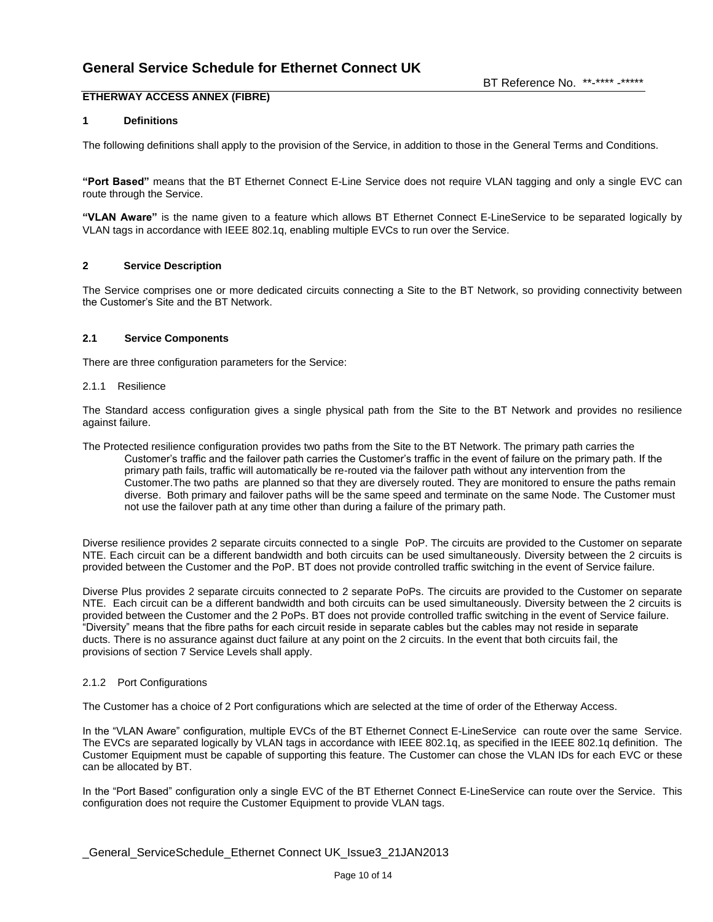## **ETHERWAY ACCESS ANNEX (FIBRE)**

### **1 Definitions**

The following definitions shall apply to the provision of the Service, in addition to those in the General Terms and Conditions.

**"Port Based"** means that the BT Ethernet Connect E-Line Service does not require VLAN tagging and only a single EVC can route through the Service.

**"VLAN Aware"** is the name given to a feature which allows BT Ethernet Connect E-LineService to be separated logically by VLAN tags in accordance with IEEE 802.1q, enabling multiple EVCs to run over the Service.

### **2 Service Description**

The Service comprises one or more dedicated circuits connecting a Site to the BT Network, so providing connectivity between the Customer"s Site and the BT Network.

### **2.1 Service Components**

There are three configuration parameters for the Service:

### 2.1.1 Resilience

The Standard access configuration gives a single physical path from the Site to the BT Network and provides no resilience against failure.

The Protected resilience configuration provides two paths from the Site to the BT Network. The primary path carries the Customer"s traffic and the failover path carries the Customer"s traffic in the event of failure on the primary path. If the primary path fails, traffic will automatically be re-routed via the failover path without any intervention from the Customer.The two paths are planned so that they are diversely routed. They are monitored to ensure the paths remain diverse. Both primary and failover paths will be the same speed and terminate on the same Node. The Customer must not use the failover path at any time other than during a failure of the primary path.

Diverse resilience provides 2 separate circuits connected to a single PoP. The circuits are provided to the Customer on separate NTE. Each circuit can be a different bandwidth and both circuits can be used simultaneously. Diversity between the 2 circuits is provided between the Customer and the PoP. BT does not provide controlled traffic switching in the event of Service failure.

Diverse Plus provides 2 separate circuits connected to 2 separate PoPs. The circuits are provided to the Customer on separate NTE. Each circuit can be a different bandwidth and both circuits can be used simultaneously. Diversity between the 2 circuits is provided between the Customer and the 2 PoPs. BT does not provide controlled traffic switching in the event of Service failure. "Diversity" means that the fibre paths for each circuit reside in separate cables but the cables may not reside in separate ducts. There is no assurance against duct failure at any point on the 2 circuits. In the event that both circuits fail, the provisions of section 7 Service Levels shall apply.

### 2.1.2 Port Configurations

The Customer has a choice of 2 Port configurations which are selected at the time of order of the Etherway Access.

In the "VLAN Aware" configuration, multiple EVCs of the BT Ethernet Connect E-LineService can route over the same Service. The EVCs are separated logically by VLAN tags in accordance with IEEE 802.1q, as specified in the IEEE 802.1q definition. The Customer Equipment must be capable of supporting this feature. The Customer can chose the VLAN IDs for each EVC or these can be allocated by BT.

In the "Port Based" configuration only a single EVC of the BT Ethernet Connect E-LineService can route over the Service. This configuration does not require the Customer Equipment to provide VLAN tags.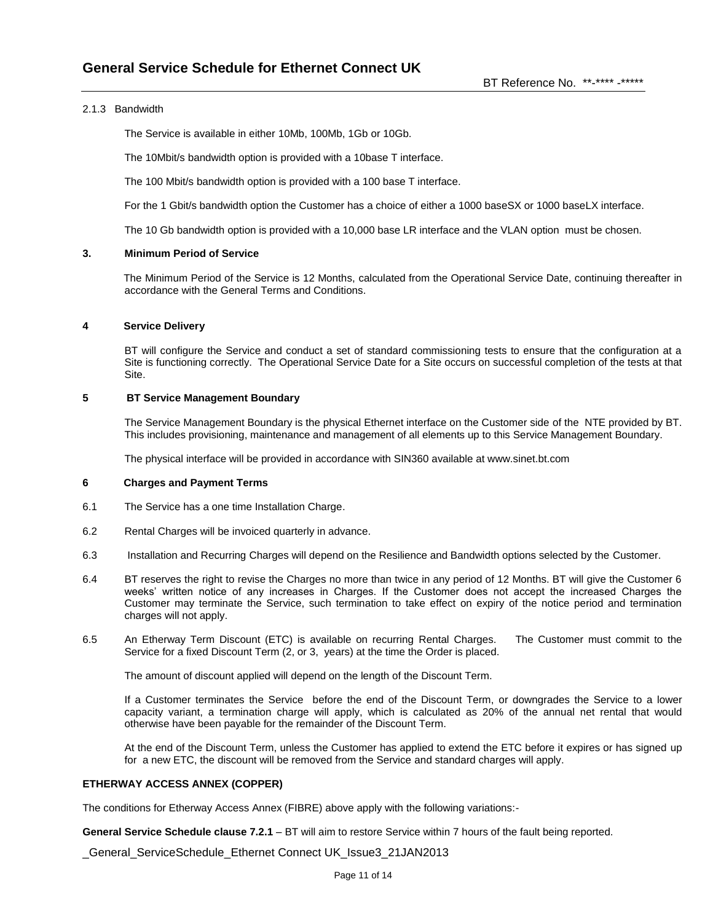### 2.1.3 Bandwidth

The Service is available in either 10Mb, 100Mb, 1Gb or 10Gb.

The 10Mbit/s bandwidth option is provided with a 10base T interface.

The 100 Mbit/s bandwidth option is provided with a 100 base T interface.

For the 1 Gbit/s bandwidth option the Customer has a choice of either a 1000 baseSX or 1000 baseLX interface.

The 10 Gb bandwidth option is provided with a 10,000 base LR interface and the VLAN option must be chosen.

#### **3. Minimum Period of Service**

The Minimum Period of the Service is 12 Months, calculated from the Operational Service Date, continuing thereafter in accordance with the General Terms and Conditions.

#### **4 Service Delivery**

BT will configure the Service and conduct a set of standard commissioning tests to ensure that the configuration at a Site is functioning correctly. The Operational Service Date for a Site occurs on successful completion of the tests at that Site.

### **5 BT Service Management Boundary**

The Service Management Boundary is the physical Ethernet interface on the Customer side of the NTE provided by BT. This includes provisioning, maintenance and management of all elements up to this Service Management Boundary.

The physical interface will be provided in accordance with SIN360 available at www.sinet.bt.com

#### **6 Charges and Payment Terms**

- 6.1 The Service has a one time Installation Charge.
- 6.2 Rental Charges will be invoiced quarterly in advance.
- 6.3 Installation and Recurring Charges will depend on the Resilience and Bandwidth options selected by the Customer.
- 6.4 BT reserves the right to revise the Charges no more than twice in any period of 12 Months. BT will give the Customer 6 weeks" written notice of any increases in Charges. If the Customer does not accept the increased Charges the Customer may terminate the Service, such termination to take effect on expiry of the notice period and termination charges will not apply.
- 6.5 An Etherway Term Discount (ETC) is available on recurring Rental Charges. The Customer must commit to the Service for a fixed Discount Term (2, or 3, years) at the time the Order is placed.

The amount of discount applied will depend on the length of the Discount Term.

If a Customer terminates the Service before the end of the Discount Term, or downgrades the Service to a lower capacity variant, a termination charge will apply, which is calculated as 20% of the annual net rental that would otherwise have been payable for the remainder of the Discount Term.

At the end of the Discount Term, unless the Customer has applied to extend the ETC before it expires or has signed up for a new ETC, the discount will be removed from the Service and standard charges will apply.

### **ETHERWAY ACCESS ANNEX (COPPER)**

The conditions for Etherway Access Annex (FIBRE) above apply with the following variations:-

**General Service Schedule clause 7.2.1** – BT will aim to restore Service within 7 hours of the fault being reported.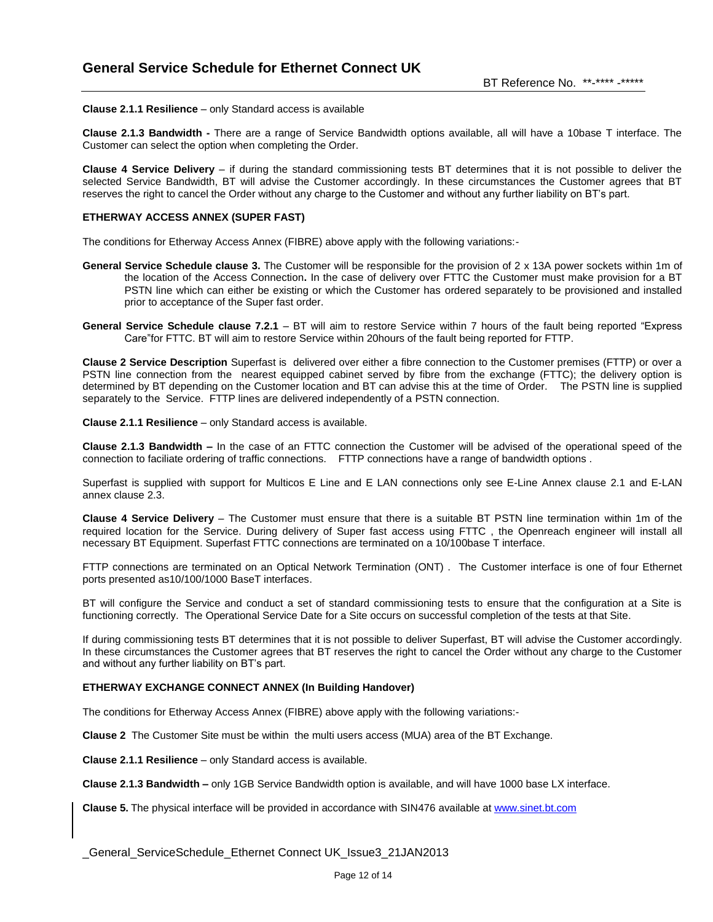**Clause 2.1.1 Resilience** – only Standard access is available

**Clause 2.1.3 Bandwidth -** There are a range of Service Bandwidth options available, all will have a 10base T interface. The Customer can select the option when completing the Order.

**Clause 4 Service Delivery** – if during the standard commissioning tests BT determines that it is not possible to deliver the selected Service Bandwidth, BT will advise the Customer accordingly. In these circumstances the Customer agrees that BT reserves the right to cancel the Order without any charge to the Customer and without any further liability on BT"s part.

#### **ETHERWAY ACCESS ANNEX (SUPER FAST)**

The conditions for Etherway Access Annex (FIBRE) above apply with the following variations:-

- **General Service Schedule clause 3.** The Customer will be responsible for the provision of 2 x 13A power sockets within 1m of the location of the Access Connection**.** In the case of delivery over FTTC the Customer must make provision for a BT PSTN line which can either be existing or which the Customer has ordered separately to be provisioned and installed prior to acceptance of the Super fast order.
- **General Service Schedule clause 7.2.1** BT will aim to restore Service within 7 hours of the fault being reported "Express Care"for FTTC. BT will aim to restore Service within 20hours of the fault being reported for FTTP.

**Clause 2 Service Description** Superfast is delivered over either a fibre connection to the Customer premises (FTTP) or over a PSTN line connection from the nearest equipped cabinet served by fibre from the exchange (FTTC); the delivery option is determined by BT depending on the Customer location and BT can advise this at the time of Order. The PSTN line is supplied separately to the Service. FTTP lines are delivered independently of a PSTN connection.

**Clause 2.1.1 Resilience** – only Standard access is available.

**Clause 2.1.3 Bandwidth –** In the case of an FTTC connection the Customer will be advised of the operational speed of the connection to faciliate ordering of traffic connections. FTTP connections have a range of bandwidth options .

Superfast is supplied with support for Multicos E Line and E LAN connections only see E-Line Annex clause 2.1 and E-LAN annex clause 2.3.

**Clause 4 Service Delivery** – The Customer must ensure that there is a suitable BT PSTN line termination within 1m of the required location for the Service. During delivery of Super fast access using FTTC , the Openreach engineer will install all necessary BT Equipment. Superfast FTTC connections are terminated on a 10/100base T interface.

FTTP connections are terminated on an Optical Network Termination (ONT) . The Customer interface is one of four Ethernet ports presented as10/100/1000 BaseT interfaces.

BT will configure the Service and conduct a set of standard commissioning tests to ensure that the configuration at a Site is functioning correctly. The Operational Service Date for a Site occurs on successful completion of the tests at that Site.

If during commissioning tests BT determines that it is not possible to deliver Superfast, BT will advise the Customer accordingly. In these circumstances the Customer agrees that BT reserves the right to cancel the Order without any charge to the Customer and without any further liability on BT"s part.

#### **ETHERWAY EXCHANGE CONNECT ANNEX (In Building Handover)**

The conditions for Etherway Access Annex (FIBRE) above apply with the following variations:-

**Clause 2** The Customer Site must be within the multi users access (MUA) area of the BT Exchange.

**Clause 2.1.1 Resilience** – only Standard access is available.

**Clause 2.1.3 Bandwidth –** only 1GB Service Bandwidth option is available, and will have 1000 base LX interface.

**Clause 5.** The physical interface will be provided in accordance with SIN476 available a[t www.sinet.bt.com](http://www.sinet.bt.com/)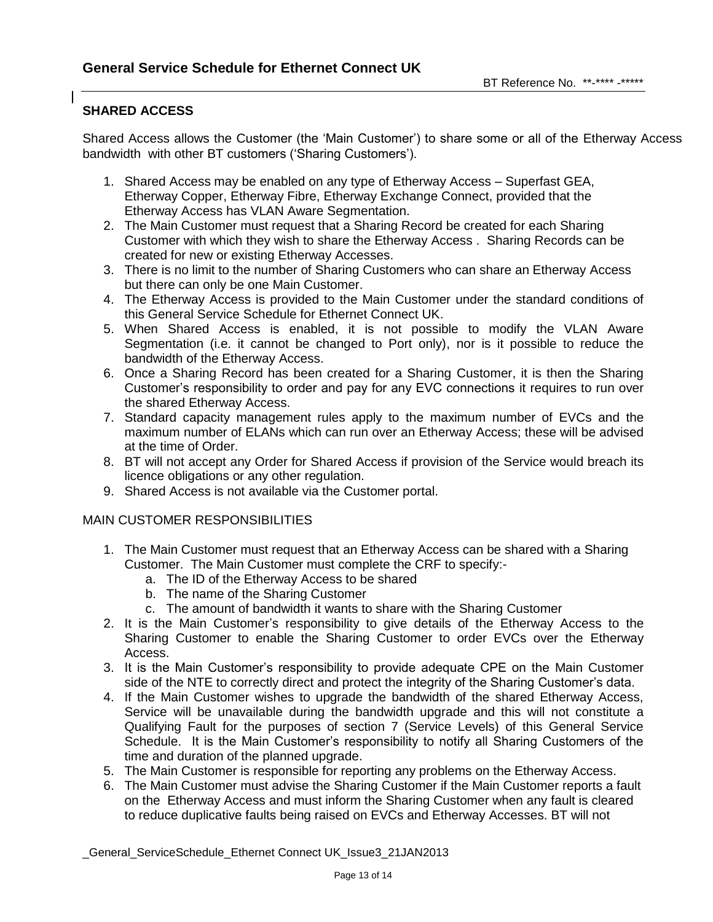# **SHARED ACCESS**

Shared Access allows the Customer (the "Main Customer") to share some or all of the Etherway Access bandwidth with other BT customers ("Sharing Customers").

- 1. Shared Access may be enabled on any type of Etherway Access Superfast GEA, Etherway Copper, Etherway Fibre, Etherway Exchange Connect, provided that the Etherway Access has VLAN Aware Segmentation.
- 2. The Main Customer must request that a Sharing Record be created for each Sharing Customer with which they wish to share the Etherway Access . Sharing Records can be created for new or existing Etherway Accesses.
- 3. There is no limit to the number of Sharing Customers who can share an Etherway Access but there can only be one Main Customer.
- 4. The Etherway Access is provided to the Main Customer under the standard conditions of this General Service Schedule for Ethernet Connect UK.
- 5. When Shared Access is enabled, it is not possible to modify the VLAN Aware Segmentation (i.e. it cannot be changed to Port only), nor is it possible to reduce the bandwidth of the Etherway Access.
- 6. Once a Sharing Record has been created for a Sharing Customer, it is then the Sharing Customer"s responsibility to order and pay for any EVC connections it requires to run over the shared Etherway Access.
- 7. Standard capacity management rules apply to the maximum number of EVCs and the maximum number of ELANs which can run over an Etherway Access; these will be advised at the time of Order.
- 8. BT will not accept any Order for Shared Access if provision of the Service would breach its licence obligations or any other regulation.
- 9. Shared Access is not available via the Customer portal.

## MAIN CUSTOMER RESPONSIBILITIES

- 1. The Main Customer must request that an Etherway Access can be shared with a Sharing Customer. The Main Customer must complete the CRF to specify:
	- a. The ID of the Etherway Access to be shared
	- b. The name of the Sharing Customer
	- c. The amount of bandwidth it wants to share with the Sharing Customer
- 2. It is the Main Customer"s responsibility to give details of the Etherway Access to the Sharing Customer to enable the Sharing Customer to order EVCs over the Etherway Access.
- 3. It is the Main Customer"s responsibility to provide adequate CPE on the Main Customer side of the NTE to correctly direct and protect the integrity of the Sharing Customer"s data.
- 4. If the Main Customer wishes to upgrade the bandwidth of the shared Etherway Access, Service will be unavailable during the bandwidth upgrade and this will not constitute a Qualifying Fault for the purposes of section 7 (Service Levels) of this General Service Schedule. It is the Main Customer"s responsibility to notify all Sharing Customers of the time and duration of the planned upgrade.
- 5. The Main Customer is responsible for reporting any problems on the Etherway Access.
- 6. The Main Customer must advise the Sharing Customer if the Main Customer reports a fault on the Etherway Access and must inform the Sharing Customer when any fault is cleared to reduce duplicative faults being raised on EVCs and Etherway Accesses. BT will not